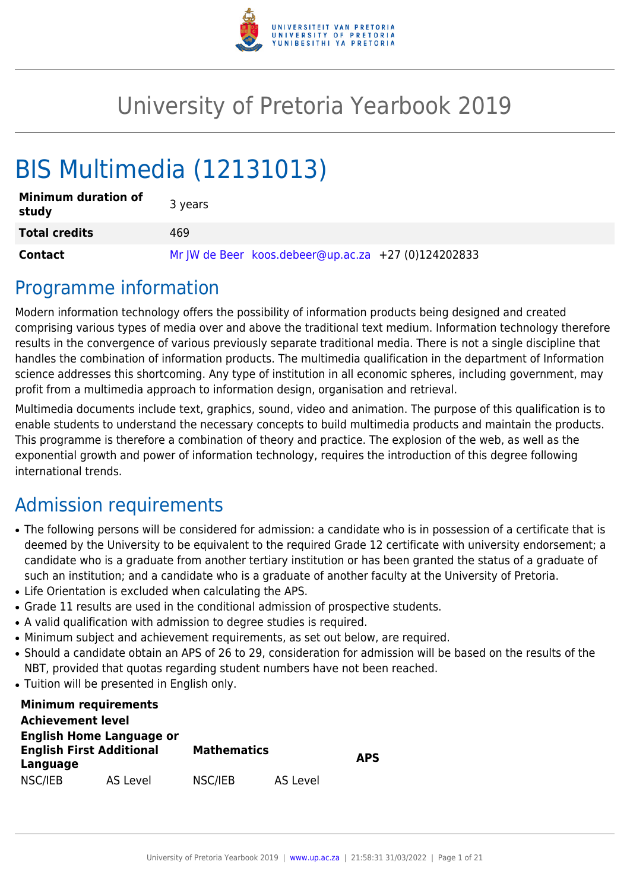

# University of Pretoria Yearbook 2019

# BIS Multimedia (12131013)

| <b>Minimum duration of</b><br>study | 3 years                                             |
|-------------------------------------|-----------------------------------------------------|
| <b>Total credits</b>                | 469                                                 |
| <b>Contact</b>                      | Mr JW de Beer koos.debeer@up.ac.za +27 (0)124202833 |

### Programme information

Modern information technology offers the possibility of information products being designed and created comprising various types of media over and above the traditional text medium. Information technology therefore results in the convergence of various previously separate traditional media. There is not a single discipline that handles the combination of information products. The multimedia qualification in the department of Information science addresses this shortcoming. Any type of institution in all economic spheres, including government, may profit from a multimedia approach to information design, organisation and retrieval.

Multimedia documents include text, graphics, sound, video and animation. The purpose of this qualification is to enable students to understand the necessary concepts to build multimedia products and maintain the products. This programme is therefore a combination of theory and practice. The explosion of the web, as well as the exponential growth and power of information technology, requires the introduction of this degree following international trends.

## Admission requirements

- The following persons will be considered for admission: a candidate who is in possession of a certificate that is deemed by the University to be equivalent to the required Grade 12 certificate with university endorsement; a candidate who is a graduate from another tertiary institution or has been granted the status of a graduate of such an institution; and a candidate who is a graduate of another faculty at the University of Pretoria.
- Life Orientation is excluded when calculating the APS.
- Grade 11 results are used in the conditional admission of prospective students.
- A valid qualification with admission to degree studies is required.
- Minimum subject and achievement requirements, as set out below, are required.
- Should a candidate obtain an APS of 26 to 29, consideration for admission will be based on the results of the NBT, provided that quotas regarding student numbers have not been reached.
- Tuition will be presented in English only.

| <b>Minimum requirements</b>     |          |                    |          |            |
|---------------------------------|----------|--------------------|----------|------------|
| <b>Achievement level</b>        |          |                    |          |            |
| <b>English Home Language or</b> |          |                    |          |            |
| <b>English First Additional</b> |          | <b>Mathematics</b> |          | <b>APS</b> |
| Language                        |          |                    |          |            |
| NSC/IEB                         | AS Level | NSC/IEB            | AS Level |            |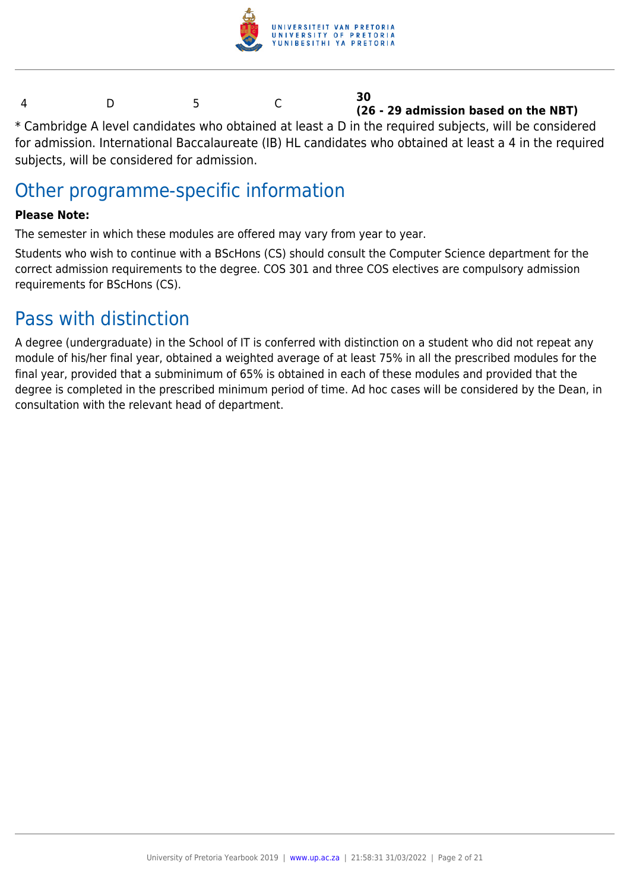

#### 4 D 5 C **30 (26 - 29 admission based on the NBT)**

\* Cambridge A level candidates who obtained at least a D in the required subjects, will be considered for admission. International Baccalaureate (IB) HL candidates who obtained at least a 4 in the required subjects, will be considered for admission.

### Other programme-specific information

#### **Please Note:**

The semester in which these modules are offered may vary from year to year.

Students who wish to continue with a BScHons (CS) should consult the Computer Science department for the correct admission requirements to the degree. COS 301 and three COS electives are compulsory admission requirements for BScHons (CS).

### Pass with distinction

A degree (undergraduate) in the School of IT is conferred with distinction on a student who did not repeat any module of his/her final year, obtained a weighted average of at least 75% in all the prescribed modules for the final year, provided that a subminimum of 65% is obtained in each of these modules and provided that the degree is completed in the prescribed minimum period of time. Ad hoc cases will be considered by the Dean, in consultation with the relevant head of department.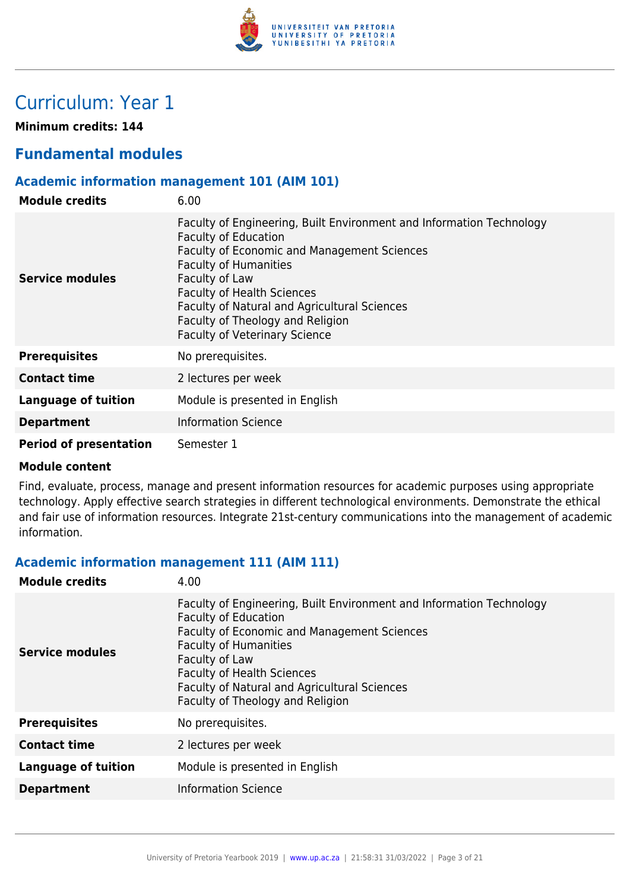

### Curriculum: Year 1

**Minimum credits: 144**

#### **Fundamental modules**

#### **Academic information management 101 (AIM 101)**

| <b>Module credits</b>         | 6.00                                                                                                                                                                                                                                                                                                                                                                  |
|-------------------------------|-----------------------------------------------------------------------------------------------------------------------------------------------------------------------------------------------------------------------------------------------------------------------------------------------------------------------------------------------------------------------|
| Service modules               | Faculty of Engineering, Built Environment and Information Technology<br><b>Faculty of Education</b><br>Faculty of Economic and Management Sciences<br><b>Faculty of Humanities</b><br>Faculty of Law<br><b>Faculty of Health Sciences</b><br>Faculty of Natural and Agricultural Sciences<br>Faculty of Theology and Religion<br><b>Faculty of Veterinary Science</b> |
| <b>Prerequisites</b>          | No prerequisites.                                                                                                                                                                                                                                                                                                                                                     |
| <b>Contact time</b>           | 2 lectures per week                                                                                                                                                                                                                                                                                                                                                   |
| <b>Language of tuition</b>    | Module is presented in English                                                                                                                                                                                                                                                                                                                                        |
| <b>Department</b>             | <b>Information Science</b>                                                                                                                                                                                                                                                                                                                                            |
| <b>Period of presentation</b> | Semester 1                                                                                                                                                                                                                                                                                                                                                            |

#### **Module content**

Find, evaluate, process, manage and present information resources for academic purposes using appropriate technology. Apply effective search strategies in different technological environments. Demonstrate the ethical and fair use of information resources. Integrate 21st-century communications into the management of academic information.

#### **Academic information management 111 (AIM 111)**

| <b>Module credits</b>      | 4.00                                                                                                                                                                                                                                                                                                                                 |
|----------------------------|--------------------------------------------------------------------------------------------------------------------------------------------------------------------------------------------------------------------------------------------------------------------------------------------------------------------------------------|
| Service modules            | Faculty of Engineering, Built Environment and Information Technology<br><b>Faculty of Education</b><br><b>Faculty of Economic and Management Sciences</b><br><b>Faculty of Humanities</b><br>Faculty of Law<br><b>Faculty of Health Sciences</b><br>Faculty of Natural and Agricultural Sciences<br>Faculty of Theology and Religion |
| <b>Prerequisites</b>       | No prerequisites.                                                                                                                                                                                                                                                                                                                    |
| <b>Contact time</b>        | 2 lectures per week                                                                                                                                                                                                                                                                                                                  |
| <b>Language of tuition</b> | Module is presented in English                                                                                                                                                                                                                                                                                                       |
| <b>Department</b>          | <b>Information Science</b>                                                                                                                                                                                                                                                                                                           |
|                            |                                                                                                                                                                                                                                                                                                                                      |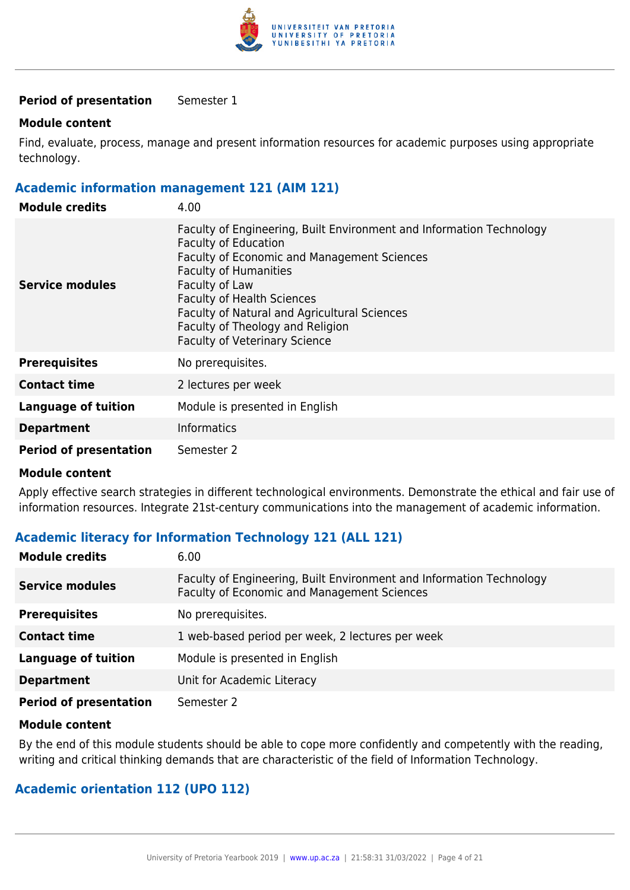

#### **Period of presentation** Semester 1

#### **Module content**

Find, evaluate, process, manage and present information resources for academic purposes using appropriate technology.

#### **Academic information management 121 (AIM 121)**

| <b>Module credits</b>         | 4.00                                                                                                                                                                                                                                                                                                                                                                         |
|-------------------------------|------------------------------------------------------------------------------------------------------------------------------------------------------------------------------------------------------------------------------------------------------------------------------------------------------------------------------------------------------------------------------|
| Service modules               | Faculty of Engineering, Built Environment and Information Technology<br><b>Faculty of Education</b><br><b>Faculty of Economic and Management Sciences</b><br><b>Faculty of Humanities</b><br>Faculty of Law<br><b>Faculty of Health Sciences</b><br>Faculty of Natural and Agricultural Sciences<br>Faculty of Theology and Religion<br><b>Faculty of Veterinary Science</b> |
| <b>Prerequisites</b>          | No prerequisites.                                                                                                                                                                                                                                                                                                                                                            |
| <b>Contact time</b>           | 2 lectures per week                                                                                                                                                                                                                                                                                                                                                          |
| <b>Language of tuition</b>    | Module is presented in English                                                                                                                                                                                                                                                                                                                                               |
| <b>Department</b>             | <b>Informatics</b>                                                                                                                                                                                                                                                                                                                                                           |
| <b>Period of presentation</b> | Semester 2                                                                                                                                                                                                                                                                                                                                                                   |

#### **Module content**

Apply effective search strategies in different technological environments. Demonstrate the ethical and fair use of information resources. Integrate 21st-century communications into the management of academic information.

#### **Academic literacy for Information Technology 121 (ALL 121)**

| <b>Module credits</b>         | 6.00                                                                                                                |
|-------------------------------|---------------------------------------------------------------------------------------------------------------------|
| <b>Service modules</b>        | Faculty of Engineering, Built Environment and Information Technology<br>Faculty of Economic and Management Sciences |
| <b>Prerequisites</b>          | No prerequisites.                                                                                                   |
| <b>Contact time</b>           | 1 web-based period per week, 2 lectures per week                                                                    |
| <b>Language of tuition</b>    | Module is presented in English                                                                                      |
| <b>Department</b>             | Unit for Academic Literacy                                                                                          |
| <b>Period of presentation</b> | Semester 2                                                                                                          |

#### **Module content**

By the end of this module students should be able to cope more confidently and competently with the reading, writing and critical thinking demands that are characteristic of the field of Information Technology.

#### **Academic orientation 112 (UPO 112)**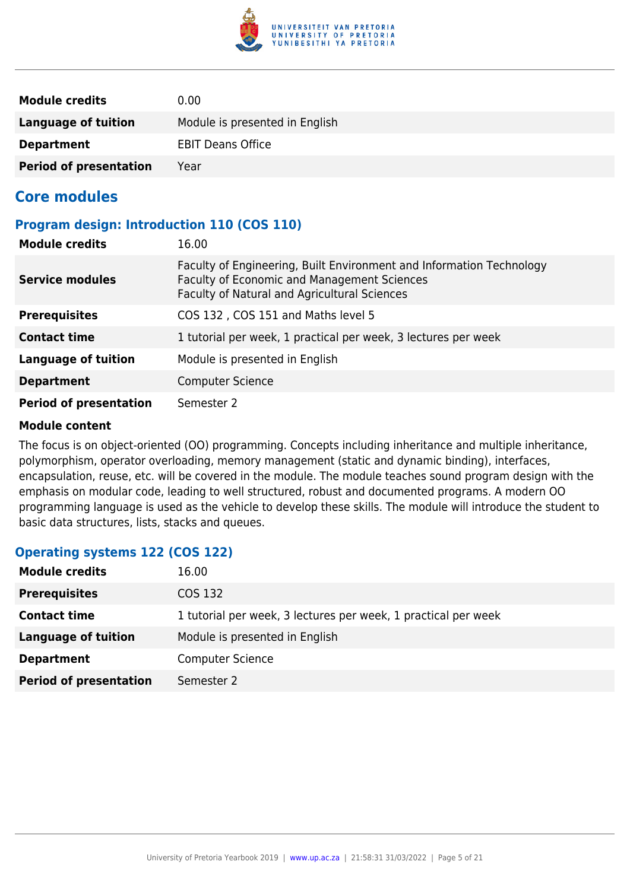

| <b>Module credits</b>         | 0.00                           |
|-------------------------------|--------------------------------|
| Language of tuition           | Module is presented in English |
| <b>Department</b>             | <b>EBIT Deans Office</b>       |
| <b>Period of presentation</b> | Year                           |

#### **Core modules**

#### **Program design: Introduction 110 (COS 110)**

| <b>Module credits</b>         | 16.00                                                                                                                                                               |
|-------------------------------|---------------------------------------------------------------------------------------------------------------------------------------------------------------------|
| <b>Service modules</b>        | Faculty of Engineering, Built Environment and Information Technology<br>Faculty of Economic and Management Sciences<br>Faculty of Natural and Agricultural Sciences |
| <b>Prerequisites</b>          | COS 132, COS 151 and Maths level 5                                                                                                                                  |
| <b>Contact time</b>           | 1 tutorial per week, 1 practical per week, 3 lectures per week                                                                                                      |
| Language of tuition           | Module is presented in English                                                                                                                                      |
| <b>Department</b>             | <b>Computer Science</b>                                                                                                                                             |
| <b>Period of presentation</b> | Semester 2                                                                                                                                                          |

#### **Module content**

The focus is on object-oriented (OO) programming. Concepts including inheritance and multiple inheritance, polymorphism, operator overloading, memory management (static and dynamic binding), interfaces, encapsulation, reuse, etc. will be covered in the module. The module teaches sound program design with the emphasis on modular code, leading to well structured, robust and documented programs. A modern OO programming language is used as the vehicle to develop these skills. The module will introduce the student to basic data structures, lists, stacks and queues.

#### **Operating systems 122 (COS 122)**

| <b>Module credits</b>         | 16.00                                                          |
|-------------------------------|----------------------------------------------------------------|
| <b>Prerequisites</b>          | COS 132                                                        |
| <b>Contact time</b>           | 1 tutorial per week, 3 lectures per week, 1 practical per week |
| Language of tuition           | Module is presented in English                                 |
| <b>Department</b>             | <b>Computer Science</b>                                        |
| <b>Period of presentation</b> | Semester 2                                                     |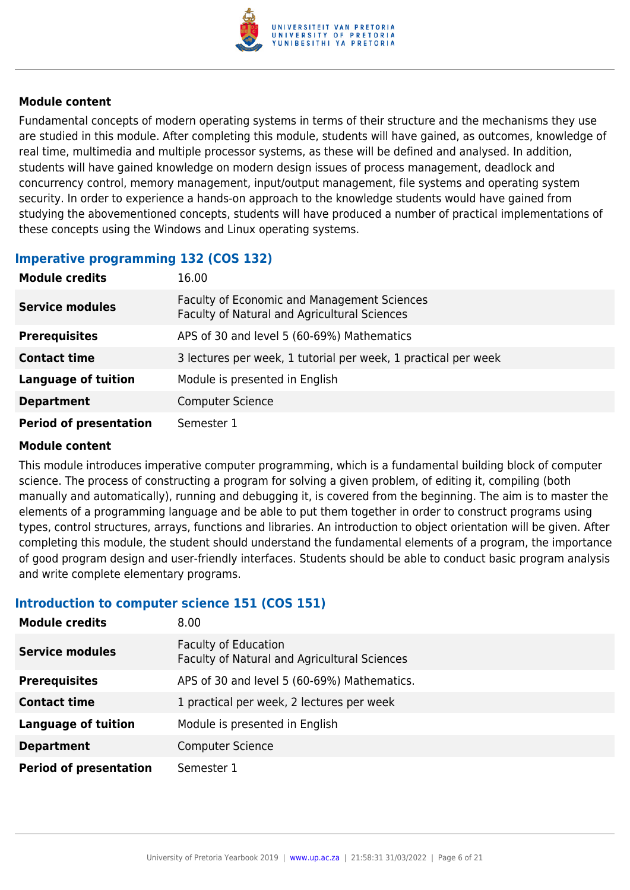

Fundamental concepts of modern operating systems in terms of their structure and the mechanisms they use are studied in this module. After completing this module, students will have gained, as outcomes, knowledge of real time, multimedia and multiple processor systems, as these will be defined and analysed. In addition, students will have gained knowledge on modern design issues of process management, deadlock and concurrency control, memory management, input/output management, file systems and operating system security. In order to experience a hands-on approach to the knowledge students would have gained from studying the abovementioned concepts, students will have produced a number of practical implementations of these concepts using the Windows and Linux operating systems.

#### **Imperative programming 132 (COS 132)**

| <b>Module credits</b>         | 16.00                                                                                       |
|-------------------------------|---------------------------------------------------------------------------------------------|
| <b>Service modules</b>        | Faculty of Economic and Management Sciences<br>Faculty of Natural and Agricultural Sciences |
| <b>Prerequisites</b>          | APS of 30 and level 5 (60-69%) Mathematics                                                  |
| <b>Contact time</b>           | 3 lectures per week, 1 tutorial per week, 1 practical per week                              |
| <b>Language of tuition</b>    | Module is presented in English                                                              |
| <b>Department</b>             | <b>Computer Science</b>                                                                     |
| <b>Period of presentation</b> | Semester 1                                                                                  |

#### **Module content**

This module introduces imperative computer programming, which is a fundamental building block of computer science. The process of constructing a program for solving a given problem, of editing it, compiling (both manually and automatically), running and debugging it, is covered from the beginning. The aim is to master the elements of a programming language and be able to put them together in order to construct programs using types, control structures, arrays, functions and libraries. An introduction to object orientation will be given. After completing this module, the student should understand the fundamental elements of a program, the importance of good program design and user-friendly interfaces. Students should be able to conduct basic program analysis and write complete elementary programs.

#### **Introduction to computer science 151 (COS 151)**

| <b>Module credits</b>         | 8.00                                                                        |
|-------------------------------|-----------------------------------------------------------------------------|
| <b>Service modules</b>        | <b>Faculty of Education</b><br>Faculty of Natural and Agricultural Sciences |
| <b>Prerequisites</b>          | APS of 30 and level 5 (60-69%) Mathematics.                                 |
| <b>Contact time</b>           | 1 practical per week, 2 lectures per week                                   |
| <b>Language of tuition</b>    | Module is presented in English                                              |
| <b>Department</b>             | <b>Computer Science</b>                                                     |
| <b>Period of presentation</b> | Semester 1                                                                  |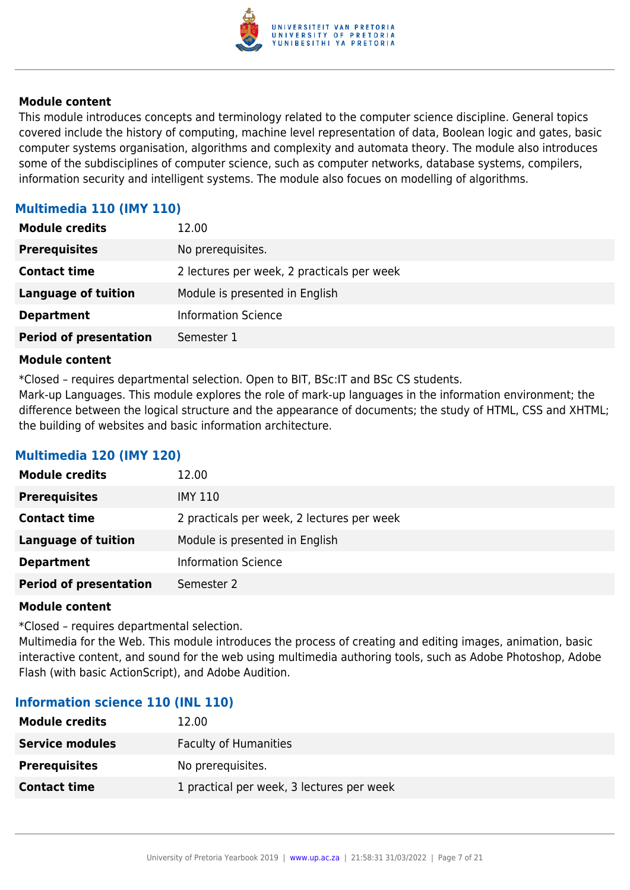

This module introduces concepts and terminology related to the computer science discipline. General topics covered include the history of computing, machine level representation of data, Boolean logic and gates, basic computer systems organisation, algorithms and complexity and automata theory. The module also introduces some of the subdisciplines of computer science, such as computer networks, database systems, compilers, information security and intelligent systems. The module also focues on modelling of algorithms.

#### **Multimedia 110 (IMY 110)**

| <b>Module credits</b>         | 12.00                                      |
|-------------------------------|--------------------------------------------|
| <b>Prerequisites</b>          | No prerequisites.                          |
| <b>Contact time</b>           | 2 lectures per week, 2 practicals per week |
| <b>Language of tuition</b>    | Module is presented in English             |
| <b>Department</b>             | <b>Information Science</b>                 |
| <b>Period of presentation</b> | Semester 1                                 |

#### **Module content**

\*Closed – requires departmental selection. Open to BIT, BSc:IT and BSc CS students.

Mark-up Languages. This module explores the role of mark-up languages in the information environment; the difference between the logical structure and the appearance of documents; the study of HTML, CSS and XHTML; the building of websites and basic information architecture.

#### **Multimedia 120 (IMY 120)**

| <b>Module credits</b>         | 12.00                                      |
|-------------------------------|--------------------------------------------|
| <b>Prerequisites</b>          | IMY 110                                    |
| <b>Contact time</b>           | 2 practicals per week, 2 lectures per week |
| <b>Language of tuition</b>    | Module is presented in English             |
| <b>Department</b>             | <b>Information Science</b>                 |
| <b>Period of presentation</b> | Semester 2                                 |

#### **Module content**

\*Closed – requires departmental selection.

Multimedia for the Web. This module introduces the process of creating and editing images, animation, basic interactive content, and sound for the web using multimedia authoring tools, such as Adobe Photoshop, Adobe Flash (with basic ActionScript), and Adobe Audition.

#### **Information science 110 (INL 110)**

| <b>Module credits</b>  | 12.00                                     |
|------------------------|-------------------------------------------|
| <b>Service modules</b> | <b>Faculty of Humanities</b>              |
| <b>Prerequisites</b>   | No prerequisites.                         |
| <b>Contact time</b>    | 1 practical per week, 3 lectures per week |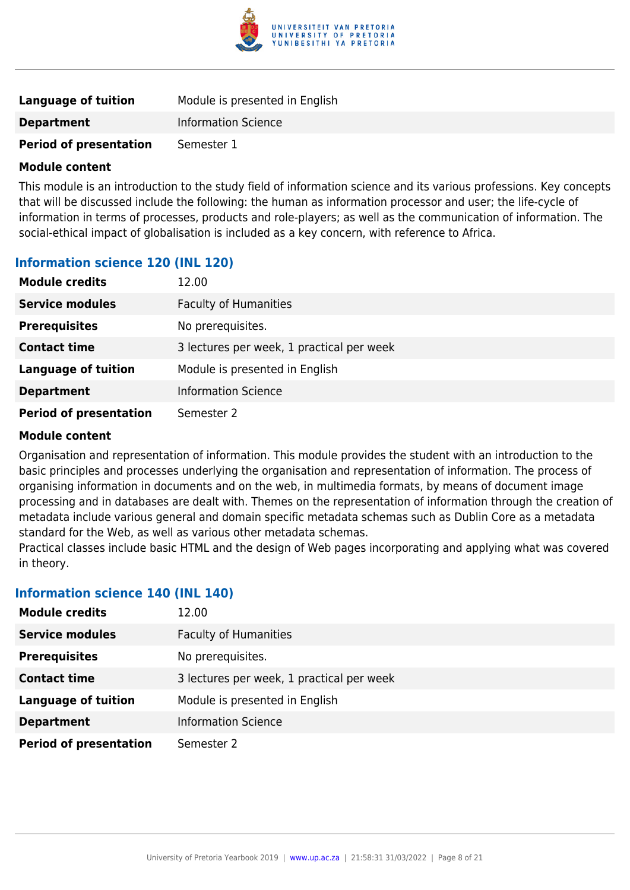

| Language of tuition           | Module is presented in English |
|-------------------------------|--------------------------------|
| <b>Department</b>             | <b>Information Science</b>     |
| <b>Period of presentation</b> | Semester 1                     |

This module is an introduction to the study field of information science and its various professions. Key concepts that will be discussed include the following: the human as information processor and user; the life-cycle of information in terms of processes, products and role-players; as well as the communication of information. The social-ethical impact of globalisation is included as a key concern, with reference to Africa.

#### **Information science 120 (INL 120)**

| <b>Module credits</b>         | 12.00                                     |
|-------------------------------|-------------------------------------------|
| <b>Service modules</b>        | <b>Faculty of Humanities</b>              |
| <b>Prerequisites</b>          | No prerequisites.                         |
| <b>Contact time</b>           | 3 lectures per week, 1 practical per week |
| <b>Language of tuition</b>    | Module is presented in English            |
| <b>Department</b>             | <b>Information Science</b>                |
| <b>Period of presentation</b> | Semester 2                                |

#### **Module content**

Organisation and representation of information. This module provides the student with an introduction to the basic principles and processes underlying the organisation and representation of information. The process of organising information in documents and on the web, in multimedia formats, by means of document image processing and in databases are dealt with. Themes on the representation of information through the creation of metadata include various general and domain specific metadata schemas such as Dublin Core as a metadata standard for the Web, as well as various other metadata schemas.

Practical classes include basic HTML and the design of Web pages incorporating and applying what was covered in theory.

#### **Information science 140 (INL 140)**

| <b>Module credits</b>         | 12.00                                     |
|-------------------------------|-------------------------------------------|
| <b>Service modules</b>        | <b>Faculty of Humanities</b>              |
| <b>Prerequisites</b>          | No prerequisites.                         |
| <b>Contact time</b>           | 3 lectures per week, 1 practical per week |
| <b>Language of tuition</b>    | Module is presented in English            |
| <b>Department</b>             | <b>Information Science</b>                |
| <b>Period of presentation</b> | Semester 2                                |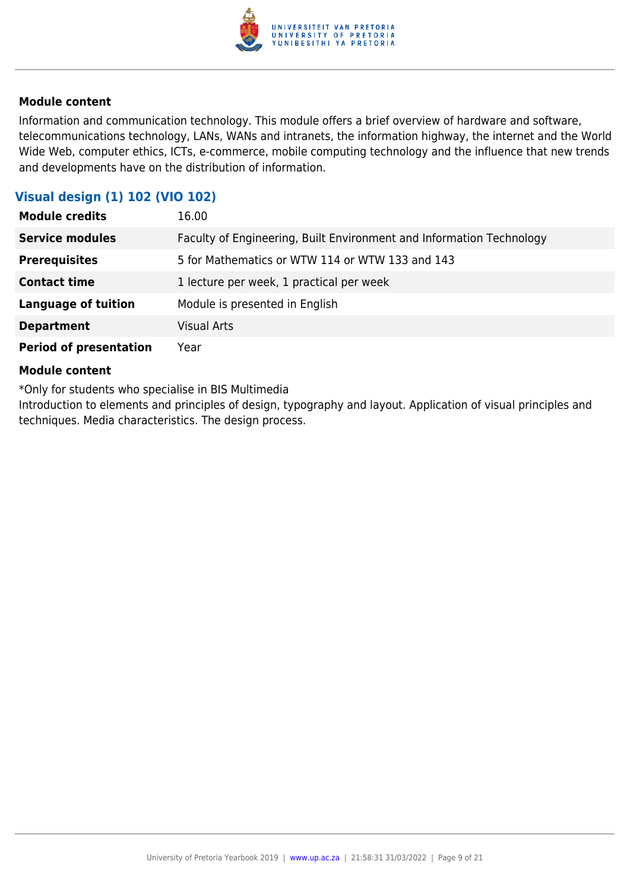

Information and communication technology. This module offers a brief overview of hardware and software, telecommunications technology, LANs, WANs and intranets, the information highway, the internet and the World Wide Web, computer ethics, ICTs, e-commerce, mobile computing technology and the influence that new trends and developments have on the distribution of information.

#### **Visual design (1) 102 (VIO 102)**

| <b>Module credits</b>         | 16.00                                                                |
|-------------------------------|----------------------------------------------------------------------|
| <b>Service modules</b>        | Faculty of Engineering, Built Environment and Information Technology |
| <b>Prerequisites</b>          | 5 for Mathematics or WTW 114 or WTW 133 and 143                      |
| <b>Contact time</b>           | 1 lecture per week, 1 practical per week                             |
| <b>Language of tuition</b>    | Module is presented in English                                       |
| <b>Department</b>             | <b>Visual Arts</b>                                                   |
| <b>Period of presentation</b> | Year                                                                 |

#### **Module content**

\*Only for students who specialise in BIS Multimedia

Introduction to elements and principles of design, typography and layout. Application of visual principles and techniques. Media characteristics. The design process.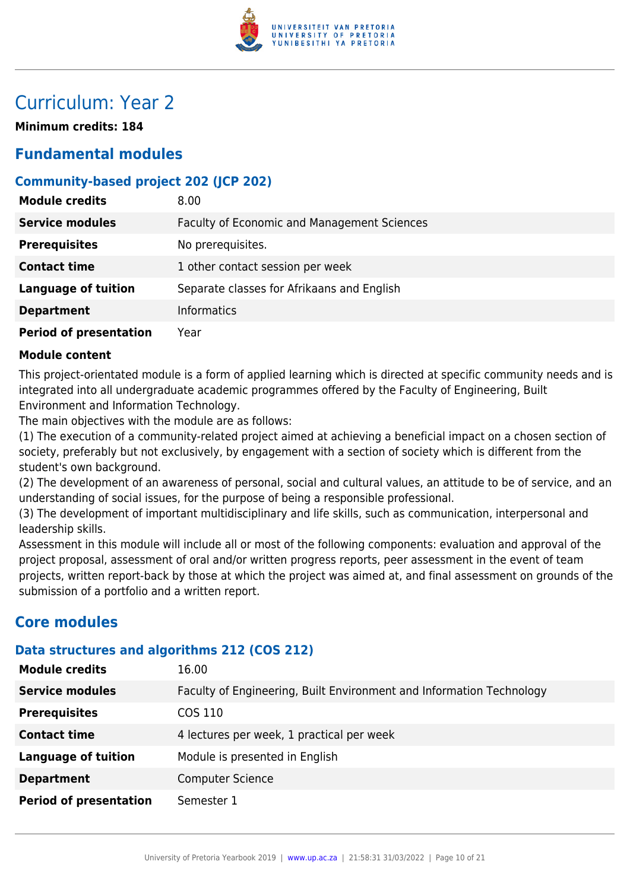

### Curriculum: Year 2

**Minimum credits: 184**

### **Fundamental modules**

#### **Community-based project 202 (JCP 202)**

| <b>Module credits</b>         | 8.00                                               |
|-------------------------------|----------------------------------------------------|
| <b>Service modules</b>        | <b>Faculty of Economic and Management Sciences</b> |
| <b>Prerequisites</b>          | No prerequisites.                                  |
| <b>Contact time</b>           | 1 other contact session per week                   |
| <b>Language of tuition</b>    | Separate classes for Afrikaans and English         |
| <b>Department</b>             | Informatics                                        |
| <b>Period of presentation</b> | Year                                               |

#### **Module content**

This project-orientated module is a form of applied learning which is directed at specific community needs and is integrated into all undergraduate academic programmes offered by the Faculty of Engineering, Built Environment and Information Technology.

The main objectives with the module are as follows:

(1) The execution of a community-related project aimed at achieving a beneficial impact on a chosen section of society, preferably but not exclusively, by engagement with a section of society which is different from the student's own background.

(2) The development of an awareness of personal, social and cultural values, an attitude to be of service, and an understanding of social issues, for the purpose of being a responsible professional.

(3) The development of important multidisciplinary and life skills, such as communication, interpersonal and leadership skills.

Assessment in this module will include all or most of the following components: evaluation and approval of the project proposal, assessment of oral and/or written progress reports, peer assessment in the event of team projects, written report-back by those at which the project was aimed at, and final assessment on grounds of the submission of a portfolio and a written report.

#### **Core modules**

#### **Data structures and algorithms 212 (COS 212)**

| <b>Module credits</b>         | 16.00                                                                |
|-------------------------------|----------------------------------------------------------------------|
| <b>Service modules</b>        | Faculty of Engineering, Built Environment and Information Technology |
| <b>Prerequisites</b>          | COS 110                                                              |
| <b>Contact time</b>           | 4 lectures per week, 1 practical per week                            |
| <b>Language of tuition</b>    | Module is presented in English                                       |
| <b>Department</b>             | <b>Computer Science</b>                                              |
| <b>Period of presentation</b> | Semester 1                                                           |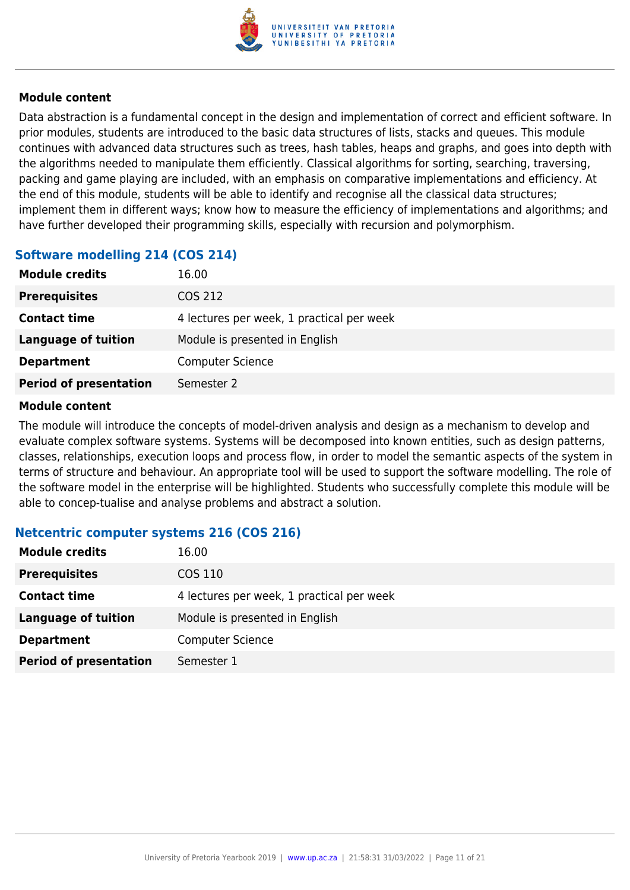

Data abstraction is a fundamental concept in the design and implementation of correct and efficient software. In prior modules, students are introduced to the basic data structures of lists, stacks and queues. This module continues with advanced data structures such as trees, hash tables, heaps and graphs, and goes into depth with the algorithms needed to manipulate them efficiently. Classical algorithms for sorting, searching, traversing, packing and game playing are included, with an emphasis on comparative implementations and efficiency. At the end of this module, students will be able to identify and recognise all the classical data structures; implement them in different ways; know how to measure the efficiency of implementations and algorithms; and have further developed their programming skills, especially with recursion and polymorphism.

#### **Software modelling 214 (COS 214)**

| <b>Module credits</b>         | 16.00                                     |
|-------------------------------|-------------------------------------------|
| <b>Prerequisites</b>          | COS 212                                   |
| <b>Contact time</b>           | 4 lectures per week, 1 practical per week |
| <b>Language of tuition</b>    | Module is presented in English            |
| <b>Department</b>             | <b>Computer Science</b>                   |
| <b>Period of presentation</b> | Semester 2                                |

#### **Module content**

The module will introduce the concepts of model-driven analysis and design as a mechanism to develop and evaluate complex software systems. Systems will be decomposed into known entities, such as design patterns, classes, relationships, execution loops and process flow, in order to model the semantic aspects of the system in terms of structure and behaviour. An appropriate tool will be used to support the software modelling. The role of the software model in the enterprise will be highlighted. Students who successfully complete this module will be able to concep-tualise and analyse problems and abstract a solution.

#### **Netcentric computer systems 216 (COS 216)**

| <b>Module credits</b>         | 16.00                                     |
|-------------------------------|-------------------------------------------|
| <b>Prerequisites</b>          | COS 110                                   |
| <b>Contact time</b>           | 4 lectures per week, 1 practical per week |
| <b>Language of tuition</b>    | Module is presented in English            |
| <b>Department</b>             | <b>Computer Science</b>                   |
| <b>Period of presentation</b> | Semester 1                                |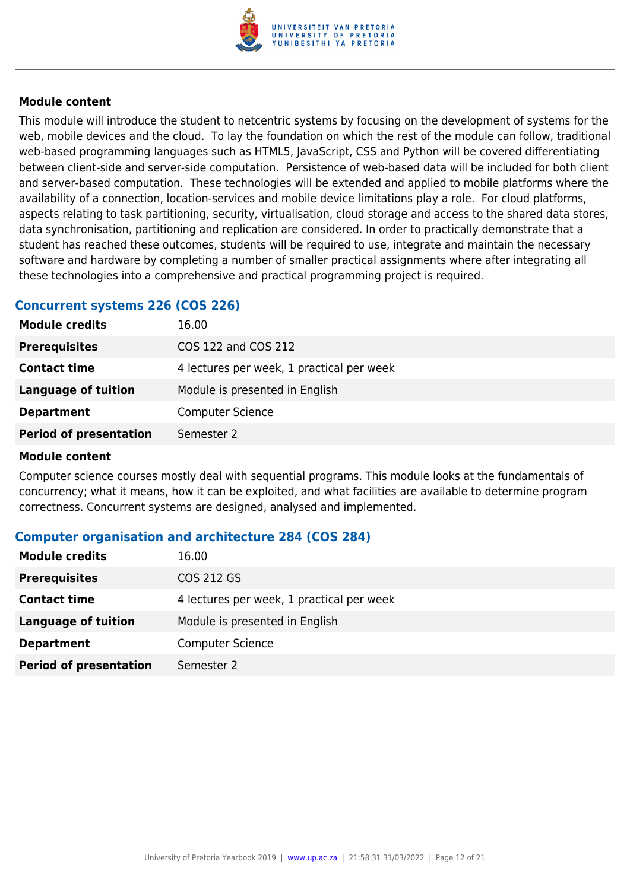

This module will introduce the student to netcentric systems by focusing on the development of systems for the web, mobile devices and the cloud. To lay the foundation on which the rest of the module can follow, traditional web-based programming languages such as HTML5, JavaScript, CSS and Python will be covered differentiating between client-side and server-side computation. Persistence of web-based data will be included for both client and server-based computation. These technologies will be extended and applied to mobile platforms where the availability of a connection, location-services and mobile device limitations play a role. For cloud platforms, aspects relating to task partitioning, security, virtualisation, cloud storage and access to the shared data stores, data synchronisation, partitioning and replication are considered. In order to practically demonstrate that a student has reached these outcomes, students will be required to use, integrate and maintain the necessary software and hardware by completing a number of smaller practical assignments where after integrating all these technologies into a comprehensive and practical programming project is required.

#### **Concurrent systems 226 (COS 226)**

| <b>Module credits</b>         | 16.00                                     |
|-------------------------------|-------------------------------------------|
| <b>Prerequisites</b>          | COS 122 and COS 212                       |
| <b>Contact time</b>           | 4 lectures per week, 1 practical per week |
| Language of tuition           | Module is presented in English            |
| <b>Department</b>             | <b>Computer Science</b>                   |
| <b>Period of presentation</b> | Semester 2                                |
|                               |                                           |

#### **Module content**

Computer science courses mostly deal with sequential programs. This module looks at the fundamentals of concurrency; what it means, how it can be exploited, and what facilities are available to determine program correctness. Concurrent systems are designed, analysed and implemented.

#### **Computer organisation and architecture 284 (COS 284)**

| <b>Module credits</b>         | 16.00                                     |
|-------------------------------|-------------------------------------------|
| <b>Prerequisites</b>          | COS 212 GS                                |
| <b>Contact time</b>           | 4 lectures per week, 1 practical per week |
| <b>Language of tuition</b>    | Module is presented in English            |
| <b>Department</b>             | <b>Computer Science</b>                   |
| <b>Period of presentation</b> | Semester 2                                |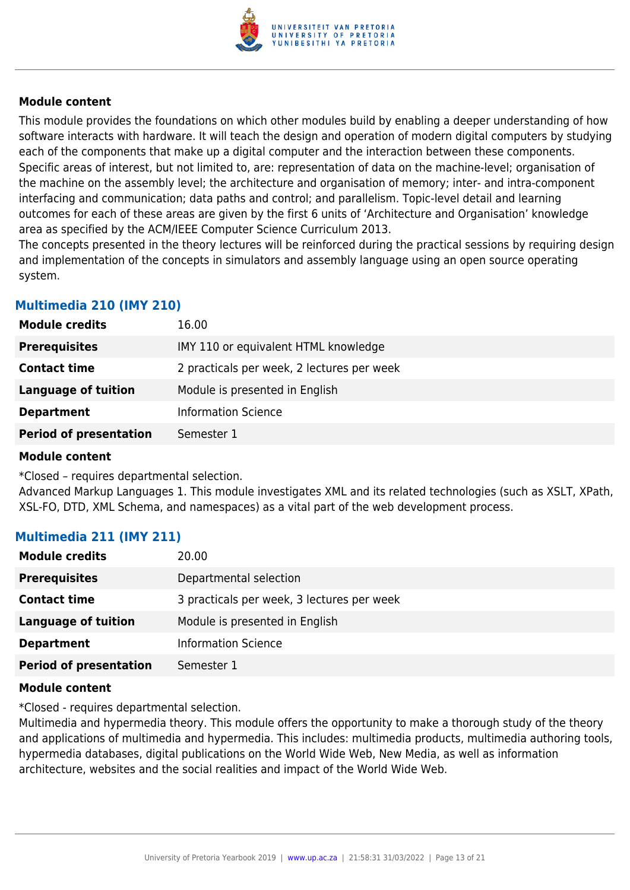

This module provides the foundations on which other modules build by enabling a deeper understanding of how software interacts with hardware. It will teach the design and operation of modern digital computers by studying each of the components that make up a digital computer and the interaction between these components. Specific areas of interest, but not limited to, are: representation of data on the machine-level; organisation of the machine on the assembly level; the architecture and organisation of memory; inter- and intra-component interfacing and communication; data paths and control; and parallelism. Topic-level detail and learning outcomes for each of these areas are given by the first 6 units of 'Architecture and Organisation' knowledge area as specified by the ACM/IEEE Computer Science Curriculum 2013.

The concepts presented in the theory lectures will be reinforced during the practical sessions by requiring design and implementation of the concepts in simulators and assembly language using an open source operating system.

#### **Multimedia 210 (IMY 210)**

| <b>Module credits</b>         | 16.00                                      |
|-------------------------------|--------------------------------------------|
| <b>Prerequisites</b>          | IMY 110 or equivalent HTML knowledge       |
| <b>Contact time</b>           | 2 practicals per week, 2 lectures per week |
| <b>Language of tuition</b>    | Module is presented in English             |
| <b>Department</b>             | <b>Information Science</b>                 |
| <b>Period of presentation</b> | Semester 1                                 |

#### **Module content**

\*Closed – requires departmental selection.

Advanced Markup Languages 1. This module investigates XML and its related technologies (such as XSLT, XPath, XSL-FO, DTD, XML Schema, and namespaces) as a vital part of the web development process.

#### **Multimedia 211 (IMY 211)**

| <b>Module credits</b>         | 20.00                                      |
|-------------------------------|--------------------------------------------|
| <b>Prerequisites</b>          | Departmental selection                     |
| <b>Contact time</b>           | 3 practicals per week, 3 lectures per week |
| Language of tuition           | Module is presented in English             |
| <b>Department</b>             | <b>Information Science</b>                 |
| <b>Period of presentation</b> | Semester 1                                 |

#### **Module content**

\*Closed - requires departmental selection.

Multimedia and hypermedia theory. This module offers the opportunity to make a thorough study of the theory and applications of multimedia and hypermedia. This includes: multimedia products, multimedia authoring tools, hypermedia databases, digital publications on the World Wide Web, New Media, as well as information architecture, websites and the social realities and impact of the World Wide Web.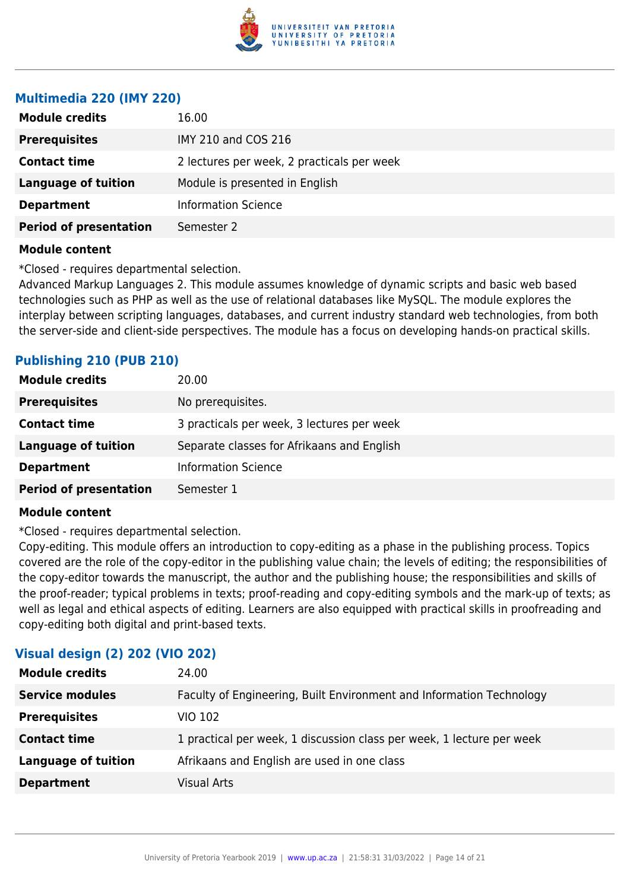

#### **Multimedia 220 (IMY 220)**

| <b>Module credits</b>         | 16.00                                      |
|-------------------------------|--------------------------------------------|
| <b>Prerequisites</b>          | IMY 210 and COS 216                        |
| <b>Contact time</b>           | 2 lectures per week, 2 practicals per week |
| <b>Language of tuition</b>    | Module is presented in English             |
| <b>Department</b>             | <b>Information Science</b>                 |
| <b>Period of presentation</b> | Semester 2                                 |
|                               |                                            |

#### **Module content**

\*Closed - requires departmental selection.

Advanced Markup Languages 2. This module assumes knowledge of dynamic scripts and basic web based technologies such as PHP as well as the use of relational databases like MySQL. The module explores the interplay between scripting languages, databases, and current industry standard web technologies, from both the server-side and client-side perspectives. The module has a focus on developing hands-on practical skills.

#### **Publishing 210 (PUB 210)**

| <b>Module credits</b>         | 20.00                                      |
|-------------------------------|--------------------------------------------|
| <b>Prerequisites</b>          | No prerequisites.                          |
| <b>Contact time</b>           | 3 practicals per week, 3 lectures per week |
| <b>Language of tuition</b>    | Separate classes for Afrikaans and English |
| <b>Department</b>             | <b>Information Science</b>                 |
| <b>Period of presentation</b> | Semester 1                                 |

#### **Module content**

\*Closed - requires departmental selection.

Copy-editing. This module offers an introduction to copy-editing as a phase in the publishing process. Topics covered are the role of the copy-editor in the publishing value chain; the levels of editing; the responsibilities of the copy-editor towards the manuscript, the author and the publishing house; the responsibilities and skills of the proof-reader; typical problems in texts; proof-reading and copy-editing symbols and the mark-up of texts; as well as legal and ethical aspects of editing. Learners are also equipped with practical skills in proofreading and copy-editing both digital and print-based texts.

| $\frac{1}{2}$              |                                                                       |
|----------------------------|-----------------------------------------------------------------------|
| <b>Module credits</b>      | 24.00                                                                 |
| <b>Service modules</b>     | Faculty of Engineering, Built Environment and Information Technology  |
| <b>Prerequisites</b>       | <b>VIO 102</b>                                                        |
| <b>Contact time</b>        | 1 practical per week, 1 discussion class per week, 1 lecture per week |
| <b>Language of tuition</b> | Afrikaans and English are used in one class                           |
| <b>Department</b>          | <b>Visual Arts</b>                                                    |
|                            |                                                                       |

#### **Visual design (2) 202 (VIO 202)**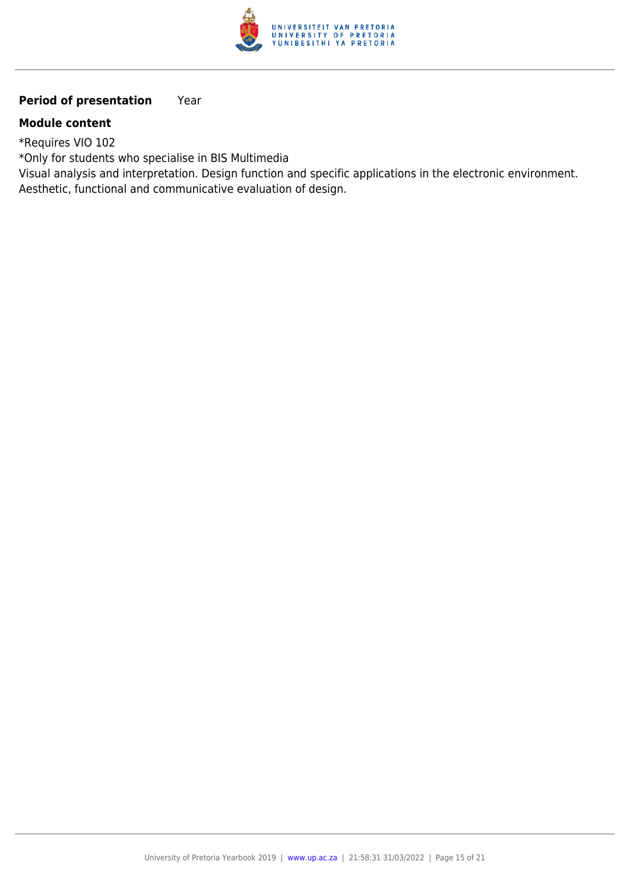

#### **Period of presentation** Year

#### **Module content**

\*Requires VIO 102

\*Only for students who specialise in BIS Multimedia

Visual analysis and interpretation. Design function and specific applications in the electronic environment. Aesthetic, functional and communicative evaluation of design.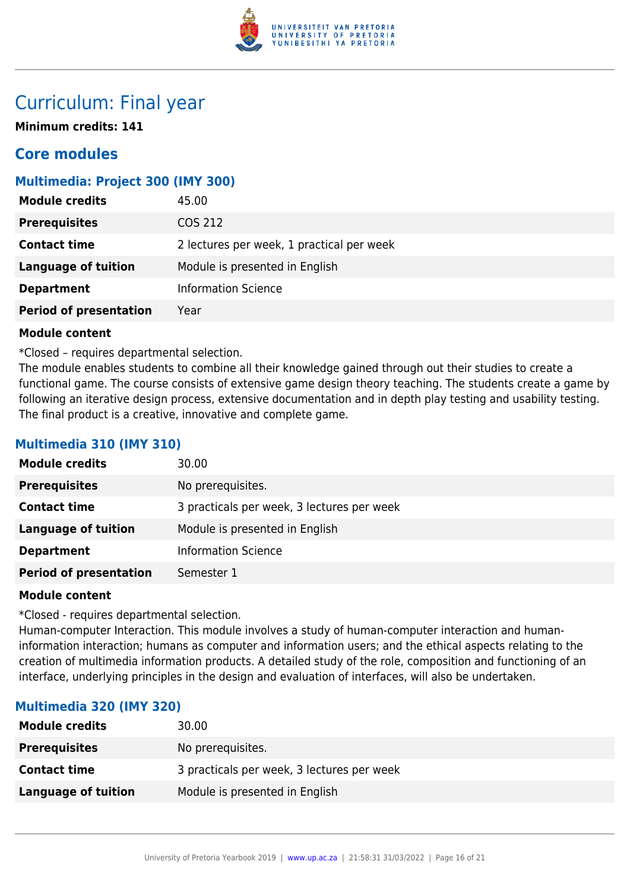

### Curriculum: Final year

**Minimum credits: 141**

### **Core modules**

#### **Multimedia: Project 300 (IMY 300)**

| <b>Module credits</b>         | 45.00                                     |
|-------------------------------|-------------------------------------------|
| <b>Prerequisites</b>          | COS 212                                   |
| <b>Contact time</b>           | 2 lectures per week, 1 practical per week |
| <b>Language of tuition</b>    | Module is presented in English            |
| <b>Department</b>             | <b>Information Science</b>                |
| <b>Period of presentation</b> | Year                                      |

#### **Module content**

\*Closed – requires departmental selection.

The module enables students to combine all their knowledge gained through out their studies to create a functional game. The course consists of extensive game design theory teaching. The students create a game by following an iterative design process, extensive documentation and in depth play testing and usability testing. The final product is a creative, innovative and complete game.

#### **Multimedia 310 (IMY 310)**

| <b>Module credits</b>         | 30.00                                      |
|-------------------------------|--------------------------------------------|
| <b>Prerequisites</b>          | No prerequisites.                          |
| <b>Contact time</b>           | 3 practicals per week, 3 lectures per week |
| <b>Language of tuition</b>    | Module is presented in English             |
| <b>Department</b>             | <b>Information Science</b>                 |
| <b>Period of presentation</b> | Semester 1                                 |

#### **Module content**

\*Closed - requires departmental selection.

Human-computer Interaction. This module involves a study of human-computer interaction and humaninformation interaction; humans as computer and information users; and the ethical aspects relating to the creation of multimedia information products. A detailed study of the role, composition and functioning of an interface, underlying principles in the design and evaluation of interfaces, will also be undertaken.

#### **Multimedia 320 (IMY 320)**

| <b>Module credits</b> | 30.00                                      |
|-----------------------|--------------------------------------------|
| <b>Prerequisites</b>  | No prerequisites.                          |
| <b>Contact time</b>   | 3 practicals per week, 3 lectures per week |
| Language of tuition   | Module is presented in English             |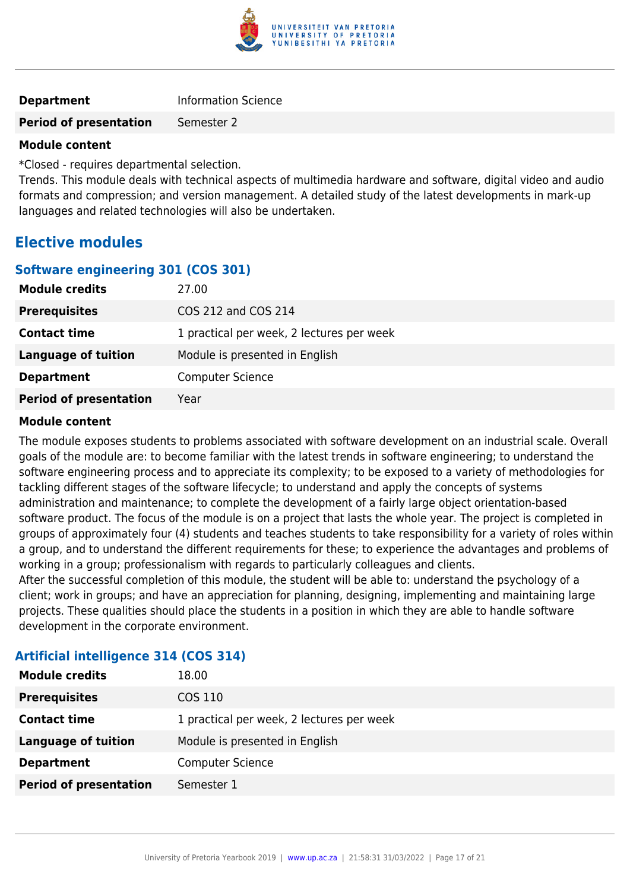

| <b>Department</b> | <b>Information Science</b> |
|-------------------|----------------------------|
|                   |                            |

### **Period of presentation** Semester 2

#### **Module content**

\*Closed - requires departmental selection.

Trends. This module deals with technical aspects of multimedia hardware and software, digital video and audio formats and compression; and version management. A detailed study of the latest developments in mark-up languages and related technologies will also be undertaken.

#### **Elective modules**

#### **Software engineering 301 (COS 301)**

| <b>Module credits</b>         | 27.00                                     |
|-------------------------------|-------------------------------------------|
| <b>Prerequisites</b>          | COS 212 and COS 214                       |
| <b>Contact time</b>           | 1 practical per week, 2 lectures per week |
| Language of tuition           | Module is presented in English            |
| <b>Department</b>             | <b>Computer Science</b>                   |
| <b>Period of presentation</b> | Year                                      |

#### **Module content**

The module exposes students to problems associated with software development on an industrial scale. Overall goals of the module are: to become familiar with the latest trends in software engineering; to understand the software engineering process and to appreciate its complexity; to be exposed to a variety of methodologies for tackling different stages of the software lifecycle; to understand and apply the concepts of systems administration and maintenance; to complete the development of a fairly large object orientation-based software product. The focus of the module is on a project that lasts the whole year. The project is completed in groups of approximately four (4) students and teaches students to take responsibility for a variety of roles within a group, and to understand the different requirements for these; to experience the advantages and problems of working in a group; professionalism with regards to particularly colleagues and clients.

After the successful completion of this module, the student will be able to: understand the psychology of a client; work in groups; and have an appreciation for planning, designing, implementing and maintaining large projects. These qualities should place the students in a position in which they are able to handle software development in the corporate environment.

| <b>Module credits</b>         | 18.00                                     |
|-------------------------------|-------------------------------------------|
| <b>Prerequisites</b>          | COS 110                                   |
| <b>Contact time</b>           | 1 practical per week, 2 lectures per week |
| <b>Language of tuition</b>    | Module is presented in English            |
| <b>Department</b>             | <b>Computer Science</b>                   |
| <b>Period of presentation</b> | Semester 1                                |

#### **Artificial intelligence 314 (COS 314)**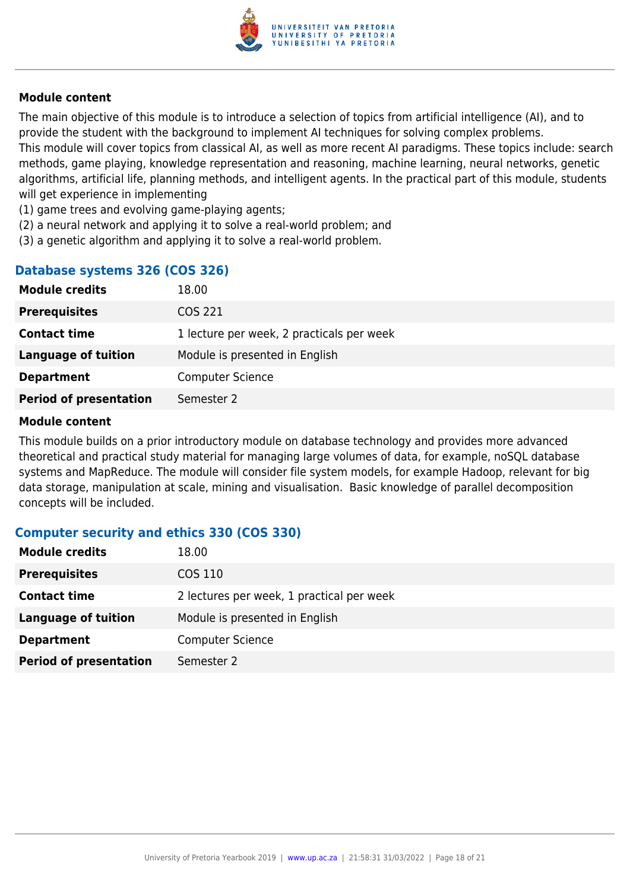

The main objective of this module is to introduce a selection of topics from artificial intelligence (AI), and to provide the student with the background to implement AI techniques for solving complex problems. This module will cover topics from classical AI, as well as more recent AI paradigms. These topics include: search methods, game playing, knowledge representation and reasoning, machine learning, neural networks, genetic algorithms, artificial life, planning methods, and intelligent agents. In the practical part of this module, students will get experience in implementing

- (1) game trees and evolving game-playing agents;
- (2) a neural network and applying it to solve a real-world problem; and
- (3) a genetic algorithm and applying it to solve a real-world problem.

#### **Database systems 326 (COS 326)**

| <b>Module credits</b>         | 18.00                                     |
|-------------------------------|-------------------------------------------|
| <b>Prerequisites</b>          | COS 221                                   |
| <b>Contact time</b>           | 1 lecture per week, 2 practicals per week |
| Language of tuition           | Module is presented in English            |
| <b>Department</b>             | <b>Computer Science</b>                   |
| <b>Period of presentation</b> | Semester 2                                |

#### **Module content**

This module builds on a prior introductory module on database technology and provides more advanced theoretical and practical study material for managing large volumes of data, for example, noSQL database systems and MapReduce. The module will consider file system models, for example Hadoop, relevant for big data storage, manipulation at scale, mining and visualisation. Basic knowledge of parallel decomposition concepts will be included.

#### **Computer security and ethics 330 (COS 330)**

| <b>Module credits</b>         | 18.00                                     |
|-------------------------------|-------------------------------------------|
| <b>Prerequisites</b>          | COS 110                                   |
| <b>Contact time</b>           | 2 lectures per week, 1 practical per week |
| <b>Language of tuition</b>    | Module is presented in English            |
| <b>Department</b>             | <b>Computer Science</b>                   |
| <b>Period of presentation</b> | Semester 2                                |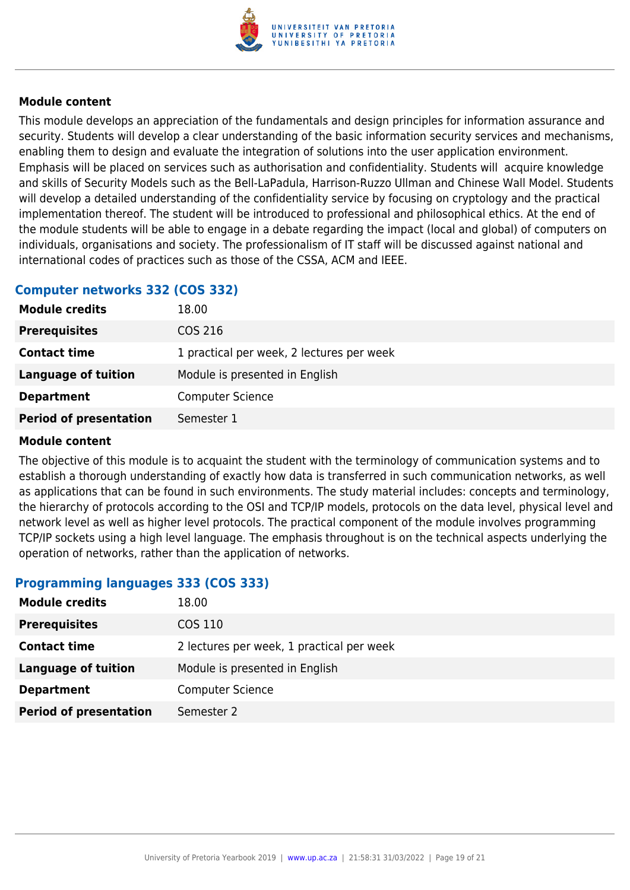

This module develops an appreciation of the fundamentals and design principles for information assurance and security. Students will develop a clear understanding of the basic information security services and mechanisms, enabling them to design and evaluate the integration of solutions into the user application environment. Emphasis will be placed on services such as authorisation and confidentiality. Students will acquire knowledge and skills of Security Models such as the Bell-LaPadula, Harrison-Ruzzo Ullman and Chinese Wall Model. Students will develop a detailed understanding of the confidentiality service by focusing on cryptology and the practical implementation thereof. The student will be introduced to professional and philosophical ethics. At the end of the module students will be able to engage in a debate regarding the impact (local and global) of computers on individuals, organisations and society. The professionalism of IT staff will be discussed against national and international codes of practices such as those of the CSSA, ACM and IEEE.

#### **Computer networks 332 (COS 332)**

| <b>Module credits</b>         | 18.00                                     |
|-------------------------------|-------------------------------------------|
| <b>Prerequisites</b>          | COS 216                                   |
| <b>Contact time</b>           | 1 practical per week, 2 lectures per week |
| <b>Language of tuition</b>    | Module is presented in English            |
| <b>Department</b>             | <b>Computer Science</b>                   |
| <b>Period of presentation</b> | Semester 1                                |

#### **Module content**

The objective of this module is to acquaint the student with the terminology of communication systems and to establish a thorough understanding of exactly how data is transferred in such communication networks, as well as applications that can be found in such environments. The study material includes: concepts and terminology, the hierarchy of protocols according to the OSI and TCP/IP models, protocols on the data level, physical level and network level as well as higher level protocols. The practical component of the module involves programming TCP/IP sockets using a high level language. The emphasis throughout is on the technical aspects underlying the operation of networks, rather than the application of networks.

#### **Programming languages 333 (COS 333)**

| <b>Module credits</b>         | 18.00                                     |
|-------------------------------|-------------------------------------------|
| <b>Prerequisites</b>          | COS 110                                   |
| <b>Contact time</b>           | 2 lectures per week, 1 practical per week |
| Language of tuition           | Module is presented in English            |
| <b>Department</b>             | <b>Computer Science</b>                   |
| <b>Period of presentation</b> | Semester 2                                |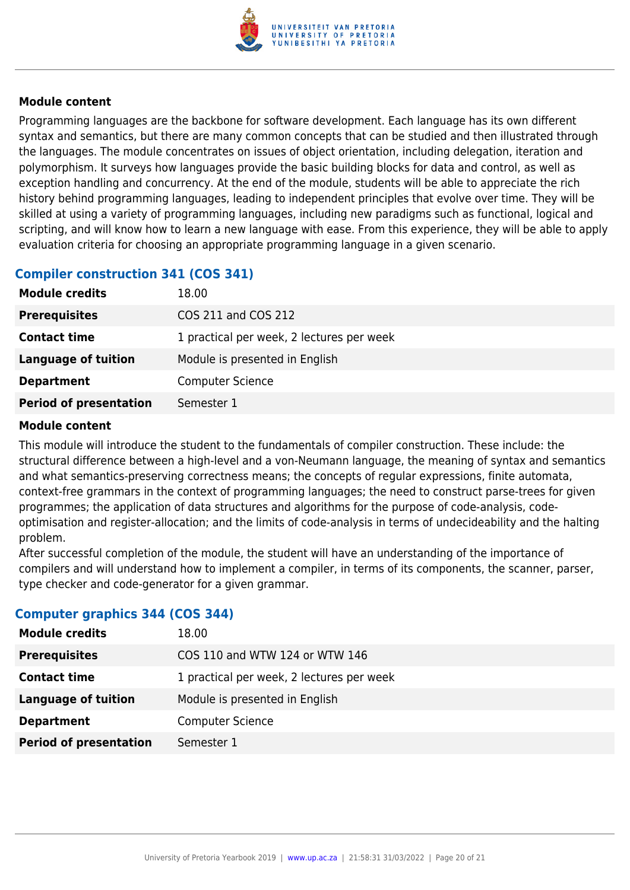

Programming languages are the backbone for software development. Each language has its own different syntax and semantics, but there are many common concepts that can be studied and then illustrated through the languages. The module concentrates on issues of object orientation, including delegation, iteration and polymorphism. It surveys how languages provide the basic building blocks for data and control, as well as exception handling and concurrency. At the end of the module, students will be able to appreciate the rich history behind programming languages, leading to independent principles that evolve over time. They will be skilled at using a variety of programming languages, including new paradigms such as functional, logical and scripting, and will know how to learn a new language with ease. From this experience, they will be able to apply evaluation criteria for choosing an appropriate programming language in a given scenario.

#### **Compiler construction 341 (COS 341)**

| <b>Module credits</b>         | 18.00                                     |
|-------------------------------|-------------------------------------------|
| <b>Prerequisites</b>          | COS 211 and COS 212                       |
| <b>Contact time</b>           | 1 practical per week, 2 lectures per week |
| <b>Language of tuition</b>    | Module is presented in English            |
| <b>Department</b>             | <b>Computer Science</b>                   |
| <b>Period of presentation</b> | Semester 1                                |

#### **Module content**

This module will introduce the student to the fundamentals of compiler construction. These include: the structural difference between a high-level and a von-Neumann language, the meaning of syntax and semantics and what semantics-preserving correctness means; the concepts of regular expressions, finite automata, context-free grammars in the context of programming languages; the need to construct parse-trees for given programmes; the application of data structures and algorithms for the purpose of code-analysis, codeoptimisation and register-allocation; and the limits of code-analysis in terms of undecideability and the halting problem.

After successful completion of the module, the student will have an understanding of the importance of compilers and will understand how to implement a compiler, in terms of its components, the scanner, parser, type checker and code-generator for a given grammar.

#### **Computer graphics 344 (COS 344)**

| <b>Module credits</b>         | 18.00                                     |
|-------------------------------|-------------------------------------------|
| <b>Prerequisites</b>          | COS 110 and WTW 124 or WTW 146            |
| <b>Contact time</b>           | 1 practical per week, 2 lectures per week |
| Language of tuition           | Module is presented in English            |
| <b>Department</b>             | <b>Computer Science</b>                   |
| <b>Period of presentation</b> | Semester 1                                |